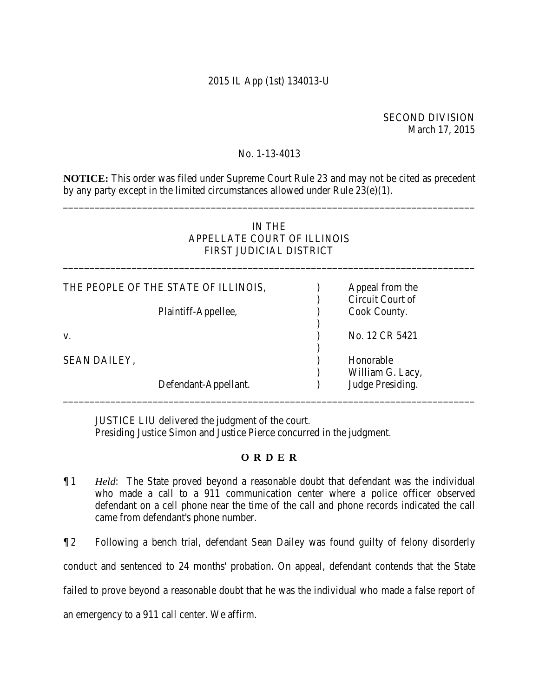# 2015 IL App (1st) 134013-U

## SECOND DIVISION March 17, 2015

### No. 1-13-4013

**NOTICE:** This order was filed under Supreme Court Rule 23 and may not be cited as precedent by any party except in the limited circumstances allowed under Rule 23(e)(1).

\_\_\_\_\_\_\_\_\_\_\_\_\_\_\_\_\_\_\_\_\_\_\_\_\_\_\_\_\_\_\_\_\_\_\_\_\_\_\_\_\_\_\_\_\_\_\_\_\_\_\_\_\_\_\_\_\_\_\_\_\_\_\_\_\_\_\_\_\_\_\_\_\_\_\_\_\_\_

# IN THE APPELLATE COURT OF ILLINOIS FIRST JUDICIAL DISTRICT

\_\_\_\_\_\_\_\_\_\_\_\_\_\_\_\_\_\_\_\_\_\_\_\_\_\_\_\_\_\_\_\_\_\_\_\_\_\_\_\_\_\_\_\_\_\_\_\_\_\_\_\_\_\_\_\_\_\_\_\_\_\_\_\_\_\_\_\_\_\_\_\_\_\_\_\_\_\_

| THE PEOPLE OF THE STATE OF ILLINOIS, |                      | Appeal from the<br>Circuit Court of |
|--------------------------------------|----------------------|-------------------------------------|
|                                      | Plaintiff-Appellee,  | Cook County.                        |
| V.                                   |                      | No. 12 CR 5421                      |
| <b>SEAN DAILEY,</b>                  |                      | Honorable<br>William G. Lacy,       |
|                                      | Defendant-Appellant. | Judge Presiding.                    |

JUSTICE LIU delivered the judgment of the court. Presiding Justice Simon and Justice Pierce concurred in the judgment.

#### **O R D E R**

- ¶ 1 *Held*: The State proved beyond a reasonable doubt that defendant was the individual who made a call to a 911 communication center where a police officer observed defendant on a cell phone near the time of the call and phone records indicated the call came from defendant's phone number.
- ¶ 2 Following a bench trial, defendant Sean Dailey was found guilty of felony disorderly conduct and sentenced to 24 months' probation. On appeal, defendant contends that the State failed to prove beyond a reasonable doubt that he was the individual who made a false report of an emergency to a 911 call center. We affirm.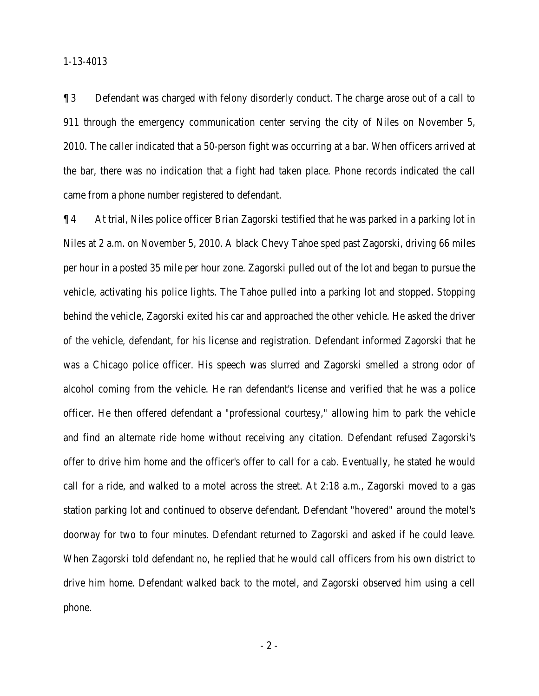¶ 3 Defendant was charged with felony disorderly conduct. The charge arose out of a call to 911 through the emergency communication center serving the city of Niles on November 5, 2010. The caller indicated that a 50-person fight was occurring at a bar. When officers arrived at the bar, there was no indication that a fight had taken place. Phone records indicated the call came from a phone number registered to defendant.

¶ 4 At trial, Niles police officer Brian Zagorski testified that he was parked in a parking lot in Niles at 2 a.m. on November 5, 2010. A black Chevy Tahoe sped past Zagorski, driving 66 miles per hour in a posted 35 mile per hour zone. Zagorski pulled out of the lot and began to pursue the vehicle, activating his police lights. The Tahoe pulled into a parking lot and stopped. Stopping behind the vehicle, Zagorski exited his car and approached the other vehicle. He asked the driver of the vehicle, defendant, for his license and registration. Defendant informed Zagorski that he was a Chicago police officer. His speech was slurred and Zagorski smelled a strong odor of alcohol coming from the vehicle. He ran defendant's license and verified that he was a police officer. He then offered defendant a "professional courtesy," allowing him to park the vehicle and find an alternate ride home without receiving any citation. Defendant refused Zagorski's offer to drive him home and the officer's offer to call for a cab. Eventually, he stated he would call for a ride, and walked to a motel across the street. At 2:18 a.m., Zagorski moved to a gas station parking lot and continued to observe defendant. Defendant "hovered" around the motel's doorway for two to four minutes. Defendant returned to Zagorski and asked if he could leave. When Zagorski told defendant no, he replied that he would call officers from his own district to drive him home. Defendant walked back to the motel, and Zagorski observed him using a cell phone.

- 2 -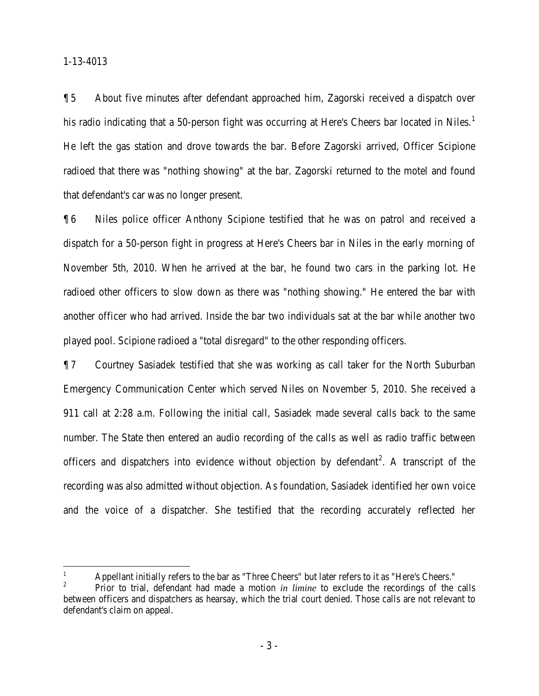$\overline{a}$ 

¶ 5 About five minutes after defendant approached him, Zagorski received a dispatch over his radio indicating that a 50-person fight was occurring at Here's Cheers bar located in Niles.<sup>1</sup> He left the gas station and drove towards the bar. Before Zagorski arrived, Officer Scipione radioed that there was "nothing showing" at the bar. Zagorski returned to the motel and found that defendant's car was no longer present.

¶ 6 Niles police officer Anthony Scipione testified that he was on patrol and received a dispatch for a 50-person fight in progress at Here's Cheers bar in Niles in the early morning of November 5th, 2010. When he arrived at the bar, he found two cars in the parking lot. He radioed other officers to slow down as there was "nothing showing." He entered the bar with another officer who had arrived. Inside the bar two individuals sat at the bar while another two played pool. Scipione radioed a "total disregard" to the other responding officers.

¶ 7 Courtney Sasiadek testified that she was working as call taker for the North Suburban Emergency Communication Center which served Niles on November 5, 2010. She received a 911 call at 2:28 a.m. Following the initial call, Sasiadek made several calls back to the same number. The State then entered an audio recording of the calls as well as radio traffic between officers and dispatchers into evidence without objection by defendant<sup>2</sup>. A transcript of the recording was also admitted without objection. As foundation, Sasiadek identified her own voice and the voice of a dispatcher. She testified that the recording accurately reflected her

<sup>1</sup> Appellant initially refers to the bar as "Three Cheers" but later refers to it as "Here's Cheers."

<sup>2</sup> Prior to trial, defendant had made a motion *in limine* to exclude the recordings of the calls between officers and dispatchers as hearsay, which the trial court denied. Those calls are not relevant to defendant's claim on appeal.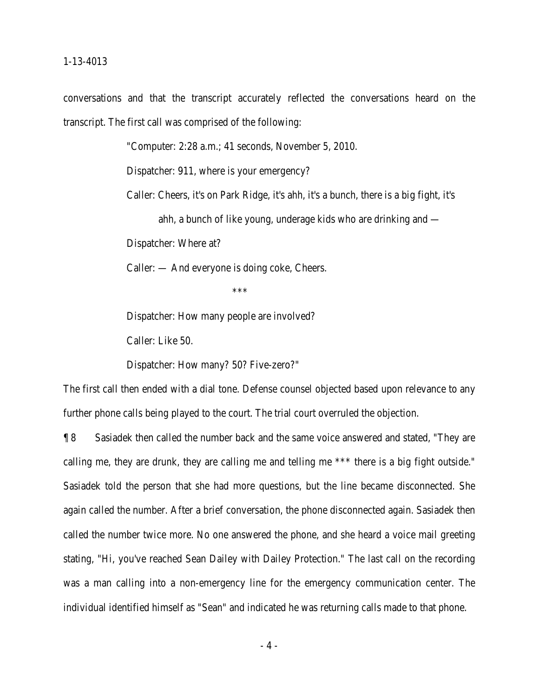conversations and that the transcript accurately reflected the conversations heard on the transcript. The first call was comprised of the following:

"Computer: 2:28 a.m.; 41 seconds, November 5, 2010.

Dispatcher: 911, where is your emergency?

Caller: Cheers, it's on Park Ridge, it's ahh, it's a bunch, there is a big fight, it's

ahh, a bunch of like young, underage kids who are drinking and —

Dispatcher: Where at?

Caller: — And everyone is doing coke, Cheers.

 $***$ 

Dispatcher: How many people are involved?

Caller: Like 50.

Dispatcher: How many? 50? Five-zero?"

The first call then ended with a dial tone. Defense counsel objected based upon relevance to any further phone calls being played to the court. The trial court overruled the objection.

¶ 8 Sasiadek then called the number back and the same voice answered and stated, "They are calling me, they are drunk, they are calling me and telling me \*\*\* there is a big fight outside." Sasiadek told the person that she had more questions, but the line became disconnected. She again called the number. After a brief conversation, the phone disconnected again. Sasiadek then called the number twice more. No one answered the phone, and she heard a voice mail greeting stating, "Hi, you've reached Sean Dailey with Dailey Protection." The last call on the recording was a man calling into a non-emergency line for the emergency communication center. The individual identified himself as "Sean" and indicated he was returning calls made to that phone.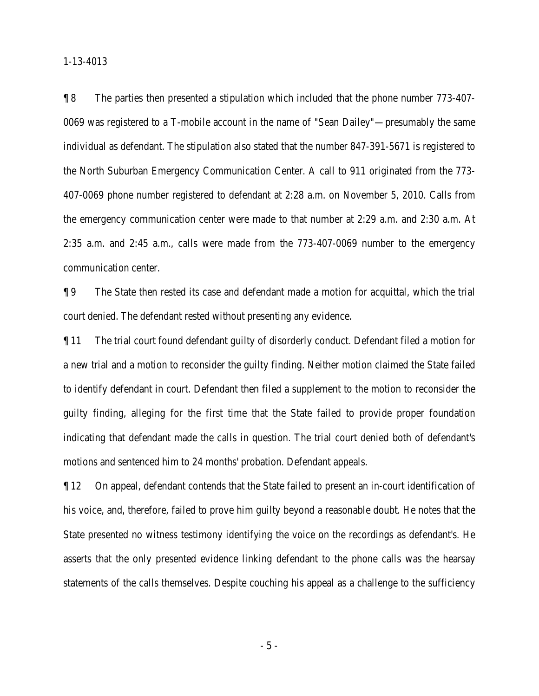¶ 8 The parties then presented a stipulation which included that the phone number 773-407- 0069 was registered to a T-mobile account in the name of "Sean Dailey"—presumably the same individual as defendant. The stipulation also stated that the number 847-391-5671 is registered to the North Suburban Emergency Communication Center. A call to 911 originated from the 773- 407-0069 phone number registered to defendant at 2:28 a.m. on November 5, 2010. Calls from the emergency communication center were made to that number at 2:29 a.m. and 2:30 a.m. At 2:35 a.m. and 2:45 a.m., calls were made from the 773-407-0069 number to the emergency communication center.

¶ 9 The State then rested its case and defendant made a motion for acquittal, which the trial court denied. The defendant rested without presenting any evidence.

¶ 11 The trial court found defendant guilty of disorderly conduct. Defendant filed a motion for a new trial and a motion to reconsider the guilty finding. Neither motion claimed the State failed to identify defendant in court. Defendant then filed a supplement to the motion to reconsider the guilty finding, alleging for the first time that the State failed to provide proper foundation indicating that defendant made the calls in question. The trial court denied both of defendant's motions and sentenced him to 24 months' probation. Defendant appeals.

¶ 12 On appeal, defendant contends that the State failed to present an in-court identification of his voice, and, therefore, failed to prove him guilty beyond a reasonable doubt. He notes that the State presented no witness testimony identifying the voice on the recordings as defendant's. He asserts that the only presented evidence linking defendant to the phone calls was the hearsay statements of the calls themselves. Despite couching his appeal as a challenge to the sufficiency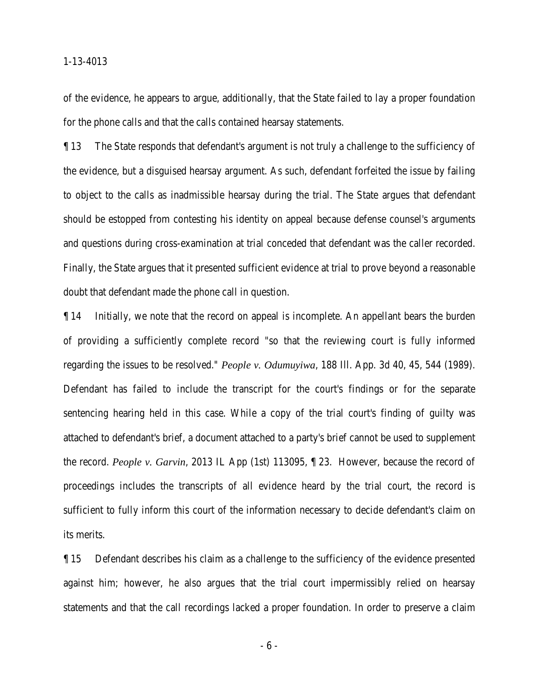of the evidence, he appears to argue, additionally, that the State failed to lay a proper foundation for the phone calls and that the calls contained hearsay statements.

¶ 13 The State responds that defendant's argument is not truly a challenge to the sufficiency of the evidence, but a disguised hearsay argument. As such, defendant forfeited the issue by failing to object to the calls as inadmissible hearsay during the trial. The State argues that defendant should be estopped from contesting his identity on appeal because defense counsel's arguments and questions during cross-examination at trial conceded that defendant was the caller recorded. Finally, the State argues that it presented sufficient evidence at trial to prove beyond a reasonable doubt that defendant made the phone call in question.

¶ 14 Initially, we note that the record on appeal is incomplete. An appellant bears the burden of providing a sufficiently complete record "so that the reviewing court is fully informed regarding the issues to be resolved." *People v. Odumuyiwa*, 188 Ill. App. 3d 40, 45, 544 (1989). Defendant has failed to include the transcript for the court's findings or for the separate sentencing hearing held in this case. While a copy of the trial court's finding of guilty was attached to defendant's brief, a document attached to a party's brief cannot be used to supplement the record. *People v. Garvin*, 2013 IL App (1st) 113095, ¶ 23. However, because the record of proceedings includes the transcripts of all evidence heard by the trial court, the record is sufficient to fully inform this court of the information necessary to decide defendant's claim on its merits.

¶ 15 Defendant describes his claim as a challenge to the sufficiency of the evidence presented against him; however, he also argues that the trial court impermissibly relied on hearsay statements and that the call recordings lacked a proper foundation. In order to preserve a claim

- 6 -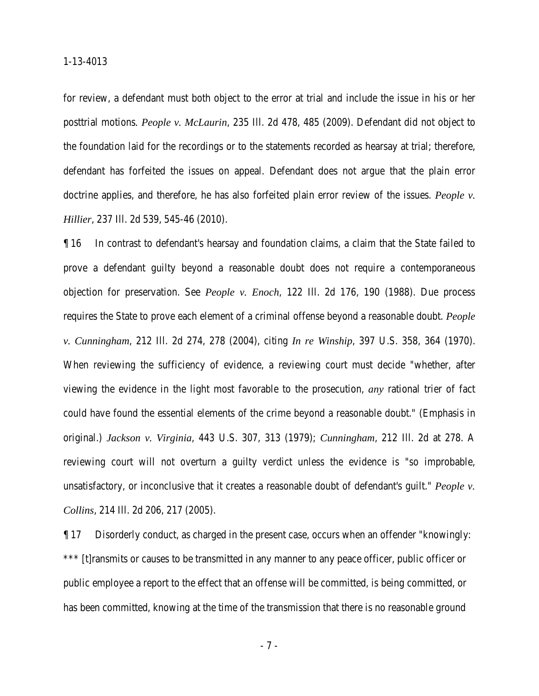for review, a defendant must both object to the error at trial and include the issue in his or her posttrial motions*. People v. McLaurin*, 235 Ill. 2d 478, 485 (2009). Defendant did not object to the foundation laid for the recordings or to the statements recorded as hearsay at trial; therefore, defendant has forfeited the issues on appeal. Defendant does not argue that the plain error doctrine applies, and therefore, he has also forfeited plain error review of the issues. *People v. Hillier*, 237 Ill. 2d 539, 545-46 (2010).

¶ 16 In contrast to defendant's hearsay and foundation claims, a claim that the State failed to prove a defendant guilty beyond a reasonable doubt does not require a contemporaneous objection for preservation. See *People v. Enoch*, 122 Ill. 2d 176, 190 (1988). Due process requires the State to prove each element of a criminal offense beyond a reasonable doubt. *People v. Cunningham*, 212 Ill. 2d 274, 278 (2004), citing *In re Winship*, 397 U.S. 358, 364 (1970). When reviewing the sufficiency of evidence, a reviewing court must decide "whether, after viewing the evidence in the light most favorable to the prosecution, *any* rational trier of fact could have found the essential elements of the crime beyond a reasonable doubt." (Emphasis in original.) *Jackson v. Virginia*, 443 U.S. 307, 313 (1979); *Cunningham*, 212 Ill. 2d at 278. A reviewing court will not overturn a guilty verdict unless the evidence is "so improbable, unsatisfactory, or inconclusive that it creates a reasonable doubt of defendant's guilt." *People v. Collins*, 214 Ill. 2d 206, 217 (2005).

¶ 17 Disorderly conduct, as charged in the present case, occurs when an offender "knowingly: \*\*\* [t]ransmits or causes to be transmitted in any manner to any peace officer, public officer or public employee a report to the effect that an offense will be committed, is being committed, or has been committed, knowing at the time of the transmission that there is no reasonable ground

- 7 -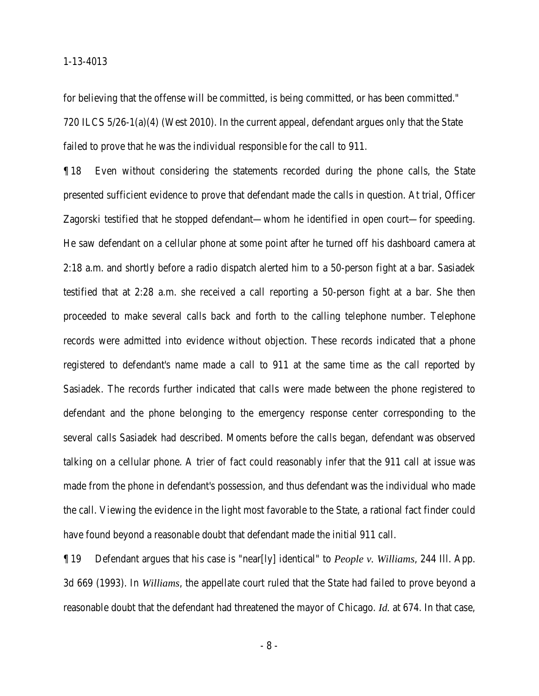for believing that the offense will be committed, is being committed, or has been committed." 720 ILCS 5/26-1(a)(4) (West 2010). In the current appeal, defendant argues only that the State failed to prove that he was the individual responsible for the call to 911.

¶ 18 Even without considering the statements recorded during the phone calls, the State presented sufficient evidence to prove that defendant made the calls in question. At trial, Officer Zagorski testified that he stopped defendant—whom he identified in open court—for speeding. He saw defendant on a cellular phone at some point after he turned off his dashboard camera at 2:18 a.m. and shortly before a radio dispatch alerted him to a 50-person fight at a bar. Sasiadek testified that at 2:28 a.m. she received a call reporting a 50-person fight at a bar. She then proceeded to make several calls back and forth to the calling telephone number. Telephone records were admitted into evidence without objection. These records indicated that a phone registered to defendant's name made a call to 911 at the same time as the call reported by Sasiadek. The records further indicated that calls were made between the phone registered to defendant and the phone belonging to the emergency response center corresponding to the several calls Sasiadek had described. Moments before the calls began, defendant was observed talking on a cellular phone. A trier of fact could reasonably infer that the 911 call at issue was made from the phone in defendant's possession, and thus defendant was the individual who made the call. Viewing the evidence in the light most favorable to the State, a rational fact finder could have found beyond a reasonable doubt that defendant made the initial 911 call.

¶ 19 Defendant argues that his case is "near[ly] identical" to *People v. Williams*, 244 Ill. App. 3d 669 (1993). In *Williams*, the appellate court ruled that the State had failed to prove beyond a reasonable doubt that the defendant had threatened the mayor of Chicago. *Id.* at 674. In that case,